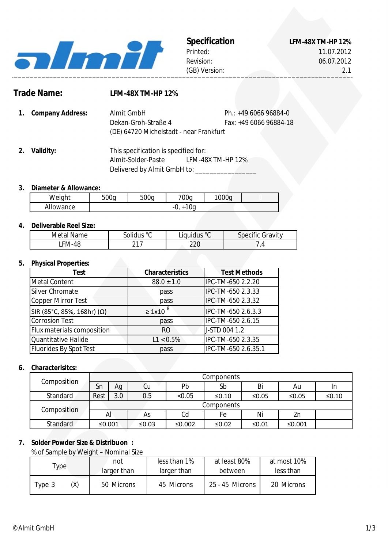

Printed: Revision: (GB) Version:

**Specification LFM-48X TM-HP 12%** 11.07.2012 06.07.2012

# **Trade Name:**

## **LFM-48X TM-HP 12%**

- **1. Company Address:** Ph.: +49 6066 96884-0 Fax: +49 6066 96884-18 Dekan-Groh-Straße 4 Almit GmbH (DE) 64720 Michelstadt - near Frankfurt
- **2.** LFM-48X TM-HP 12% Delivered by Almit GmbH to: Almit-Solder-Paste This specification is specified for:

### **3. Diameter & Allowance:**

| Weight                | $\sim$ $\sim$<br>500a<br>h, | 500a | 700q                        | 1000<br>◡ |  |
|-----------------------|-----------------------------|------|-----------------------------|-----------|--|
| .<br>owance<br>- Allu |                             |      | 10 <sub>q</sub><br>-v.<br>∼ |           |  |

### **4. Deliverable Reel Size:**

| Metal<br>Name | .<br>$\circ$<br>olidus ۔         | Liquidus ° <sup>C</sup> | $\sim$<br>Gravitv<br>specific |
|---------------|----------------------------------|-------------------------|-------------------------------|
| ั ⊦M-4c       | $\sim$ $\sim$ $\sim$<br><u>_</u> | חרר<br>∠∠∪              | ட                             |

# **5. Physical Properties:**

| Test                       | <b>Characteristics</b> | <b>Test Methods</b> |
|----------------------------|------------------------|---------------------|
| <b>Metal Content</b>       | $88.0 \pm 1.0$         | IPC-TM-650 2.2.20   |
| Silver Chromate            | pass                   | IPC-TM-650 2.3.33   |
| Copper Mirror Test         | pass                   | IPC-TM-650 2.3.32   |
| SIR (85°C, 85%, 168hr) (Ω) | $\geq 1x10^{8}$        | IPC-TM-650 2.6.3.3  |
| <b>Corrosion Test</b>      | pass                   | IPC-TM-650 2.6.15   |
| Flux materials composition | RO                     | J-STD 004 1.2       |
| Quantitative Halide        | $L1 < 0.5\%$           | IPC-TM-650 2.3.35   |
| Fluorides By Spot Test     | pass                   | IPC-TM-650 2.6.35.1 |

### **6. Characterisitcs:**

| Composition     | Components |     |       |        |             |          |          |         |
|-----------------|------------|-----|-------|--------|-------------|----------|----------|---------|
|                 | Sn         | Ag  | Cu    | Pb     | Sb          | Bi       | Au       | In      |
| Standard        | Rest       | 3.0 | 0.5   | < 0.05 | $\leq 0.10$ | ≤0.05    | ≤ $0.05$ | $≤0.10$ |
| Composition     | Components |     |       |        |             |          |          |         |
|                 | Al         |     | As    | Cd     | Fe          | Ni       | Zn       |         |
| <b>Standard</b> | ≤ $0.001$  |     | ≤0.03 | ≤0.002 | ≤0.02       | ≤ $0.01$ | ≤0.001   |         |

### **7. Solder Powder Size & Distribuon :**

% of Sample by Weight – Nominal Size

| l ype i       | less than 1%<br>not<br>larger than<br>larger than |            | at least 80%<br>between | at most 10%<br>less than |
|---------------|---------------------------------------------------|------------|-------------------------|--------------------------|
| 'X)<br>Type 3 | 50 Microns                                        | 45 Microns | $25 - 45$ Microns       | 20 Microns               |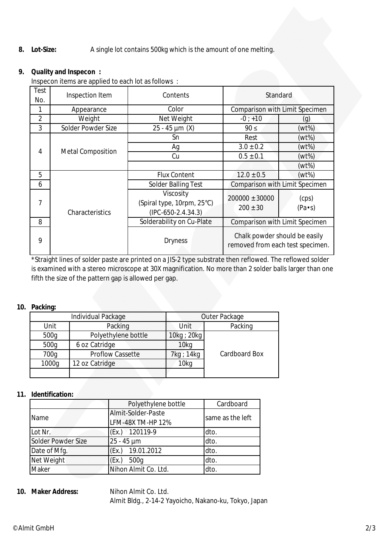#### **8. Lot-Size:** A single lot contains 500kg which is the amount of one melting.

# **9. Quality and Inspecon :**

Inspecon items are applied to each lot as follows :

| Test<br>No.    | Inspection Item          | Contents                                                        | Standard                                                          |                         |
|----------------|--------------------------|-----------------------------------------------------------------|-------------------------------------------------------------------|-------------------------|
| 1              | Appearance               | Color                                                           | Comparison with Limit Specimen                                    |                         |
| $\overline{2}$ | Weight                   | Net Weight                                                      | $-0; +10$                                                         | (g)                     |
| 3              | Solder Powder Size       | $25 - 45 \mu m (X)$                                             | $90 \leq$                                                         | (wt%)                   |
|                |                          | Sn                                                              | Rest                                                              | $(wt\%)$                |
| 4              |                          | Ag                                                              | $3.0 \pm 0.2$                                                     | $(wt\%)$                |
|                | <b>Metal Composition</b> | Cu                                                              | $0.5 \pm 0.1$                                                     | $(wt\%)$                |
|                |                          |                                                                 |                                                                   | (wt%)                   |
| 5              |                          | <b>Flux Content</b>                                             | $12.0 \pm 0.5$                                                    | $(wt\%)$                |
| 6              |                          | <b>Solder Balling Test</b>                                      | Comparison with Limit Specimen                                    |                         |
| 7              | Characteristics          | Viscosity<br>(Spiral type, 10rpm, 25°C)<br>$(IPC-650-2.4.34.3)$ | $200000 \pm 30000$<br>$200 \pm 30$                                | (cps)<br>$(Pa \cdot s)$ |
| 8              |                          | Solderability on Cu-Plate                                       | Comparison with Limit Specimen                                    |                         |
| 9              |                          | <b>Dryness</b>                                                  | Chalk powder should be easily<br>removed from each test specimen. |                         |

\*Straight lines of solder paste are printed on a JIS-2 type substrate then reflowed. The reflowed solder is examined with a stereo microscope at 30X magnification. No more than 2 solder balls larger than one fifth the size of the pattern gap is allowed per gap.

### **10. Packing:**

|       | Individual Package      | Outer Package    |               |  |
|-------|-------------------------|------------------|---------------|--|
| Unit  | Packing                 | Unit             | Packing       |  |
| 500g  | Polyethylene bottle     | 10kg ; 20kg      |               |  |
| 500g  | 6 oz Catridge           | 10 <sub>kq</sub> |               |  |
| 700g  | <b>Proflow Cassette</b> | 7kg ; 14kg       | Cardboard Box |  |
| 1000g | 12 oz Catridge          | 10 <sub>kq</sub> |               |  |
|       |                         |                  |               |  |

### **11. Identification:**

|                    | Polyethylene bottle                     | Cardboard        |
|--------------------|-----------------------------------------|------------------|
| Name               | Almit-Solder-Paste<br>LFM-48X TM-HP 12% | same as the left |
| Lot Nr.            | (Ex.) 120119-9                          | dto.             |
| Solder Powder Size | $25 - 45 \mu m$                         | dto.             |
| Date of Mfg.       | (Ex.) 19.01.2012                        | dto.             |
| Net Weight         | (EX.)<br>500g                           | dto.             |
| Maker              | Nihon Almit Co. Ltd.                    | dto.             |

### **10. Nihon Almit Co. Ltd.** Almit Bldg., 2-14-2 Yayoicho, Nakano-ku, Tokyo, Japan